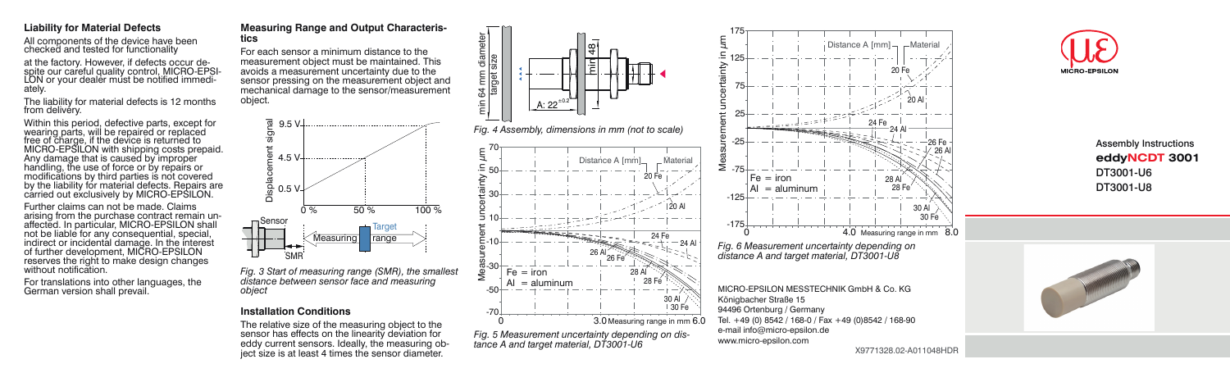### **Liability for Material Defects**

All components of the device have been checked and tested for functionality

at the factory. However, if defects occur de-<br>spite our careful quality control, MICRO-EPSI-<br>LON or your dealer must be notified immedi-<br>ately.

The liability for material defects is 12 months from delivery.

Within this period, defective parts, except for wearing parts, will be repaired or replaced free of charge, if the device is returned to MICRO-EPSILON with shipping costs prepaid. Any damage that is caused by improper handling, the use of force or by repairs or modifications by third parties is not covered by the liability for material defects. Repairs are carried out exclusively by MICRO-EPSILON.

Further claims can not be made. Claims<br>arising from the purchase contract remain unaffected. In particular, MICRO-EPSILON shall not be liable for any consequential, special, indirect or incidental damage. In the interest of further development, MICRO-EPSILON reserves the right to make design changes without notification.

For translations into other languages, the German version shall prevail.

#### **Measuring Range and Output Characteristics**

For each sensor a minimum distance to the measurement object must be maintained. This avoids a measurement uncertainty due to the sensor pressing on the measurement object and mechanical damage to the sensor/measurement object.



*distance between sensor face and measuring object*

### **Installation Conditions**

The relative size of the measuring object to the sensor has effects on the linearity deviation for eddy current sensors. Ideally, the measuring object size is at least 4 times the sensor diameter.





# Assembly Instructions **eddyNCDT 3001** DT3001-U6 DT3001-U8



X9771328.02-A011048HDR

20 Al

30 Al

30 Fe

26 Al 26 Fe

20 Fe

28 Fe